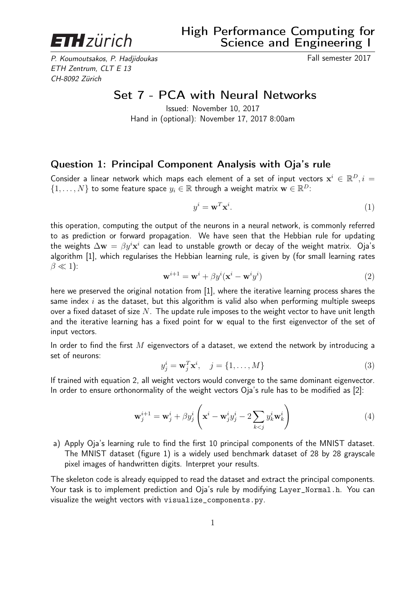

P. Koumoutsakos, P. Hadjidoukas Fall semester 2017 ETH Zentrum, CLT E 13 CH-8092 Zürich

## Set 7 - PCA with Neural Networks

Issued: November 10, 2017 Hand in (optional): November 17, 2017 8:00am

## Question 1: Principal Component Analysis with Oja's rule

Consider a linear network which maps each element of a set of input vectors  $\mathbf{x}^i \in \mathbb{R}^D, i =$  $\{1,\ldots,N\}$  to some feature space  $y_i \in \mathbb{R}$  through a weight matrix  $\mathbf{w} \in \mathbb{R}^D$ :

$$
y^i = \mathbf{w}^T \mathbf{x}^i. \tag{1}
$$

this operation, computing the output of the neurons in a neural network, is commonly referred to as prediction or forward propagation. We have seen that the Hebbian rule for updating the weights  $\Delta {\bf w} \, = \, \beta y^i {\bf x}^i$  can lead to unstable growth or decay of the weight matrix.  $\,$  Oja's algorithm [1], which regularises the Hebbian learning rule, is given by (for small learning rates  $\beta \ll 1$ :

$$
\mathbf{w}^{i+1} = \mathbf{w}^i + \beta y^i (\mathbf{x}^i - \mathbf{w}^i y^i)
$$
 (2)

here we preserved the original notation from [1], where the iterative learning process shares the same index  $i$  as the dataset, but this algorithm is valid also when performing multiple sweeps over a fixed dataset of size  $N$ . The update rule imposes to the weight vector to have unit length and the iterative learning has a fixed point for w equal to the first eigenvector of the set of input vectors.

In order to find the first  $M$  eigenvectors of a dataset, we extend the network by introducing a set of neurons:

$$
y_j^i = \mathbf{w}_j^T \mathbf{x}^i, \quad j = \{1, \dots, M\}
$$
\n(3)

If trained with equation 2, all weight vectors would converge to the same dominant eigenvector. In order to ensure orthonormality of the weight vectors Oja's rule has to be modified as [2]:

$$
\mathbf{w}_{j}^{i+1} = \mathbf{w}_{j}^{i} + \beta y_{j}^{i} \left( \mathbf{x}^{i} - \mathbf{w}_{j}^{i} y_{j}^{i} - 2 \sum_{k < j} y_{k}^{i} \mathbf{w}_{k}^{i} \right) \tag{4}
$$

a) Apply Oja's learning rule to find the first 10 principal components of the MNIST dataset. The MNIST dataset (figure 1) is a widely used benchmark dataset of 28 by 28 grayscale pixel images of handwritten digits. Interpret your results.

The skeleton code is already equipped to read the dataset and extract the principal components. Your task is to implement prediction and Oja's rule by modifying Layer\_Normal.h. You can visualize the weight vectors with visualize\_components.py.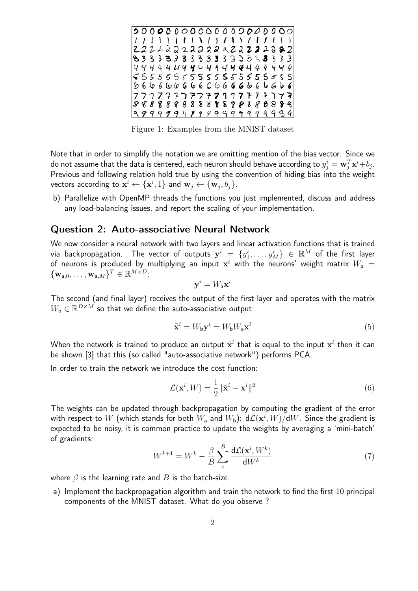

Figure 1: Examples from the MNIST dataset

Note that in order to simplify the notation we are omitting mention of the bias vector. Since we do not assume that the data is centered, each neuron should behave according to  $y^i_j = \mathbf{w}^T_j \mathbf{x}^i{+}b_j.$ Previous and following relation hold true by using the convention of hiding bias into the weight vectors according to  $\mathbf{x}^i \leftarrow \{\mathbf{x}^i, 1\}$  and  $\mathbf{w}_j \leftarrow \{\mathbf{w}_j, b_j\}.$ 

b) Parallelize with OpenMP threads the functions you just implemented, discuss and address any load-balancing issues, and report the scaling of your implementation.

## Question 2: Auto-associative Neural Network

We now consider a neural network with two layers and linear activation functions that is trained via backpropagation. The vector of outputs  $\mathbf{y}^i\ =\ \{y_1^i,\ldots,y_M^i\}\ \in\ \mathbb{R}^M$  of the first layer of neurons is produced by multiplying an input  $\mathbf{x}^i$  with the neurons' weight matrix  $W_\mathsf{a}$   $=$  ${\mathbf \{\mathbf{w}_{\mathsf a,0},\ldots,\mathbf{w}_{\mathsf a,M}\}}^T \in \mathbb{R}^{M \times D}$ 

$$
\mathbf{y}^i = W_\mathsf{a} \mathbf{x}^i
$$

The second (and final layer) receives the output of the first layer and operates with the matrix  $W_{\mathbf{b}} \in \mathbb{R}^{D \times M}$  so that we define the auto-associative output:

$$
\tilde{\mathbf{x}}^i = W_{\mathsf{b}} \mathbf{y}^i = W_{\mathsf{b}} W_{\mathsf{a}} \mathbf{x}^i \tag{5}
$$

When the network is trained to produce an output  $\tilde{\mathbf{x}}^i$  that is equal to the input  $\mathbf{x}^i$  then it can be shown [3] that this (so called "auto-associative network") performs PCA.

In order to train the network we introduce the cost function:

$$
\mathcal{L}(\mathbf{x}^i, W) = \frac{1}{2} ||\tilde{\mathbf{x}}^i - \mathbf{x}^i||^2
$$
\n(6)

The weights can be updated through backpropagation by computing the gradient of the error with respect to  $W$  (which stands for both  $W_\mathsf{a}$  and  $W_\mathsf{b}$ ):  $\mathsf{d}\mathcal{L}(\mathbf{x}^i,W)/\mathsf{d} W.$  Since the gradient is expected to be noisy, it is common practice to update the weights by averaging a 'mini-batch' of gradients:

$$
W^{k+1} = W^k - \frac{\beta}{B} \sum_{i}^{B} \frac{\mathrm{d}\mathcal{L}(\mathbf{x}^i, W^k)}{\mathrm{d}W^k} \tag{7}
$$

where  $\beta$  is the learning rate and  $B$  is the batch-size.

a) Implement the backpropagation algorithm and train the network to find the first 10 principal components of the MNIST dataset. What do you observe ?